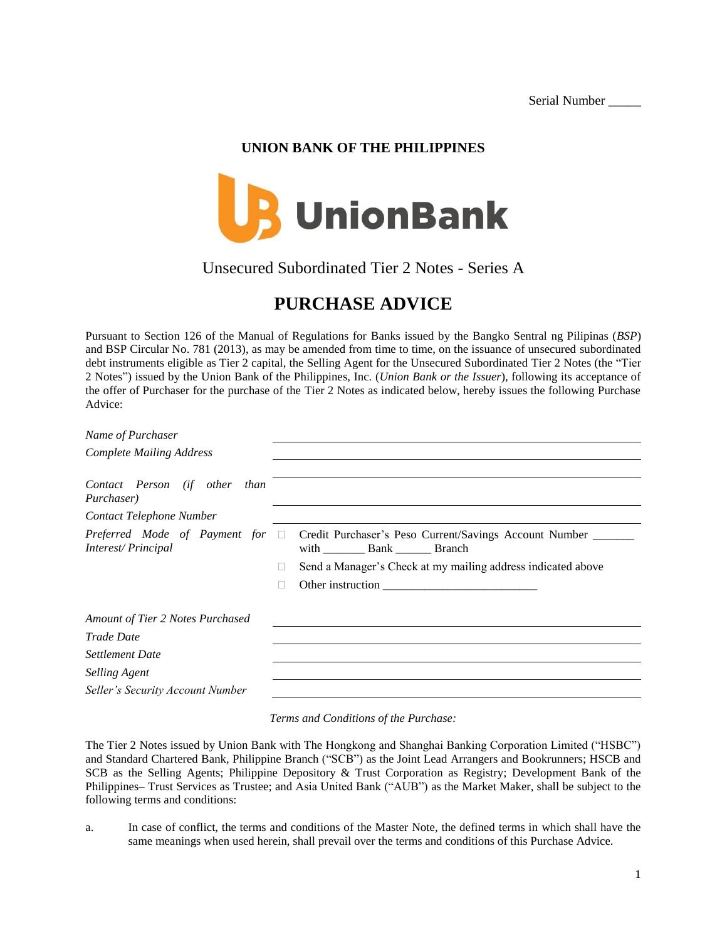Serial Number \_\_\_\_\_

## **UNION BANK OF THE PHILIPPINES**



Unsecured Subordinated Tier 2 Notes - Series A

# **PURCHASE ADVICE**

Pursuant to Section 126 of the Manual of Regulations for Banks issued by the Bangko Sentral ng Pilipinas (*BSP*) and BSP Circular No. 781 (2013), as may be amended from time to time, on the issuance of unsecured subordinated debt instruments eligible as Tier 2 capital, the Selling Agent for the Unsecured Subordinated Tier 2 Notes (the "Tier 2 Notes") issued by the Union Bank of the Philippines, Inc. (*Union Bank or the Issuer*), following its acceptance of the offer of Purchaser for the purchase of the Tier 2 Notes as indicated below, hereby issues the following Purchase Advice:

*Name of Purchaser*

| Name of Purchaser                                          |                                                              |
|------------------------------------------------------------|--------------------------------------------------------------|
| <b>Complete Mailing Address</b>                            |                                                              |
|                                                            |                                                              |
| Contact Person (if other than<br>Purchaser)                |                                                              |
| Contact Telephone Number                                   |                                                              |
| Preferred Mode of Payment for $\Box$<br>Interest/Principal | Credit Purchaser's Peso Current/Savings Account Number       |
|                                                            | Send a Manager's Check at my mailing address indicated above |
|                                                            | Other instruction                                            |
| Amount of Tier 2 Notes Purchased                           |                                                              |
| Trade Date                                                 |                                                              |
| <b>Settlement Date</b>                                     |                                                              |
| <b>Selling Agent</b>                                       |                                                              |
| Seller's Security Account Number                           |                                                              |
|                                                            |                                                              |

### *Terms and Conditions of the Purchase:*

The Tier 2 Notes issued by Union Bank with The Hongkong and Shanghai Banking Corporation Limited ("HSBC") and Standard Chartered Bank, Philippine Branch ("SCB") as the Joint Lead Arrangers and Bookrunners; HSCB and SCB as the Selling Agents; Philippine Depository & Trust Corporation as Registry; Development Bank of the Philippines– Trust Services as Trustee; and Asia United Bank ("AUB") as the Market Maker, shall be subject to the following terms and conditions:

a. In case of conflict, the terms and conditions of the Master Note, the defined terms in which shall have the same meanings when used herein, shall prevail over the terms and conditions of this Purchase Advice.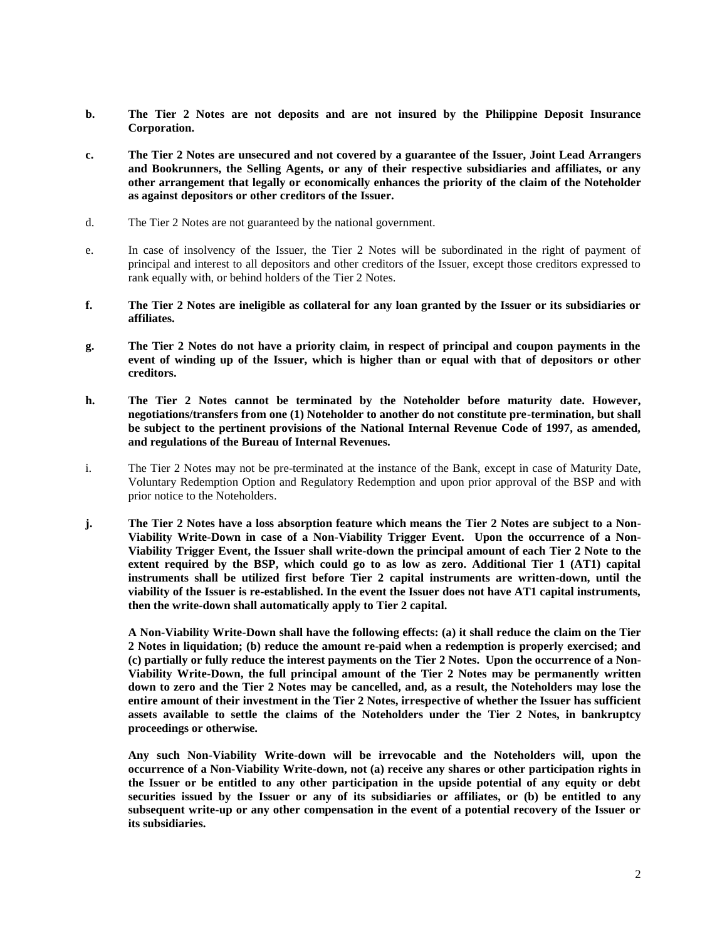- **b. The Tier 2 Notes are not deposits and are not insured by the Philippine Deposit Insurance Corporation.**
- **c. The Tier 2 Notes are unsecured and not covered by a guarantee of the Issuer, Joint Lead Arrangers and Bookrunners, the Selling Agents, or any of their respective subsidiaries and affiliates, or any other arrangement that legally or economically enhances the priority of the claim of the Noteholder as against depositors or other creditors of the Issuer.**
- d. The Tier 2 Notes are not guaranteed by the national government.
- e. In case of insolvency of the Issuer, the Tier 2 Notes will be subordinated in the right of payment of principal and interest to all depositors and other creditors of the Issuer, except those creditors expressed to rank equally with, or behind holders of the Tier 2 Notes.
- **f. The Tier 2 Notes are ineligible as collateral for any loan granted by the Issuer or its subsidiaries or affiliates.**
- **g. The Tier 2 Notes do not have a priority claim, in respect of principal and coupon payments in the event of winding up of the Issuer, which is higher than or equal with that of depositors or other creditors.**
- **h. The Tier 2 Notes cannot be terminated by the Noteholder before maturity date. However, negotiations/transfers from one (1) Noteholder to another do not constitute pre-termination, but shall be subject to the pertinent provisions of the National Internal Revenue Code of 1997, as amended, and regulations of the Bureau of Internal Revenues.**
- i. The Tier 2 Notes may not be pre-terminated at the instance of the Bank, except in case of Maturity Date, Voluntary Redemption Option and Regulatory Redemption and upon prior approval of the BSP and with prior notice to the Noteholders.
- **j. The Tier 2 Notes have a loss absorption feature which means the Tier 2 Notes are subject to a Non-Viability Write-Down in case of a Non-Viability Trigger Event. Upon the occurrence of a Non-Viability Trigger Event, the Issuer shall write-down the principal amount of each Tier 2 Note to the extent required by the BSP, which could go to as low as zero. Additional Tier 1 (AT1) capital instruments shall be utilized first before Tier 2 capital instruments are written-down, until the viability of the Issuer is re-established. In the event the Issuer does not have AT1 capital instruments, then the write-down shall automatically apply to Tier 2 capital.**

**A Non-Viability Write-Down shall have the following effects: (a) it shall reduce the claim on the Tier 2 Notes in liquidation; (b) reduce the amount re-paid when a redemption is properly exercised; and (c) partially or fully reduce the interest payments on the Tier 2 Notes. Upon the occurrence of a Non-Viability Write-Down, the full principal amount of the Tier 2 Notes may be permanently written down to zero and the Tier 2 Notes may be cancelled, and, as a result, the Noteholders may lose the entire amount of their investment in the Tier 2 Notes, irrespective of whether the Issuer has sufficient assets available to settle the claims of the Noteholders under the Tier 2 Notes, in bankruptcy proceedings or otherwise.**

**Any such Non-Viability Write-down will be irrevocable and the Noteholders will, upon the occurrence of a Non-Viability Write-down, not (a) receive any shares or other participation rights in the Issuer or be entitled to any other participation in the upside potential of any equity or debt securities issued by the Issuer or any of its subsidiaries or affiliates, or (b) be entitled to any subsequent write-up or any other compensation in the event of a potential recovery of the Issuer or its subsidiaries.**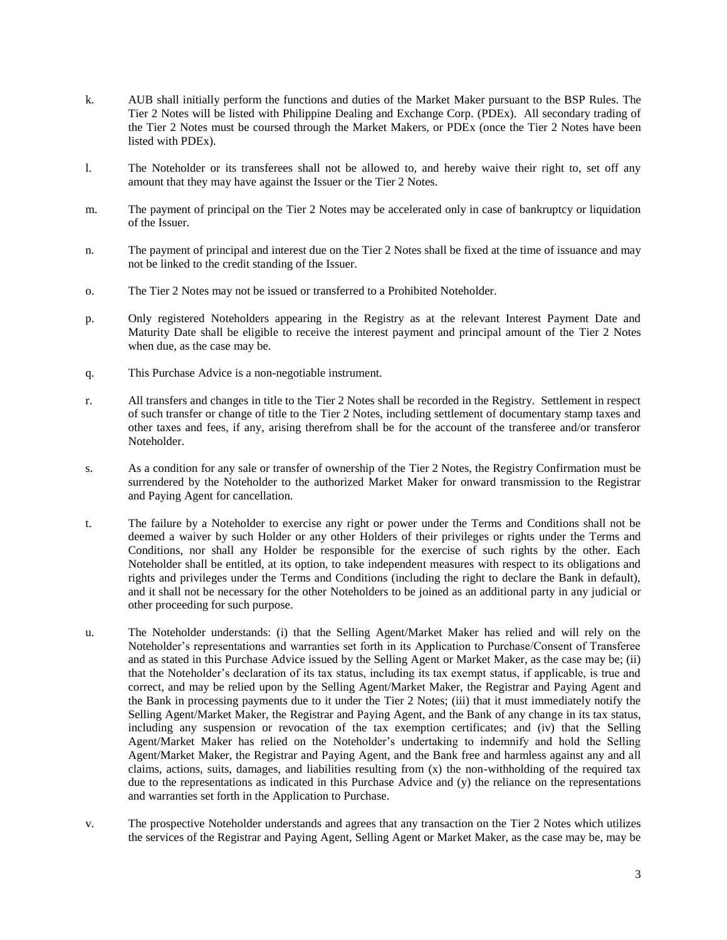- k. AUB shall initially perform the functions and duties of the Market Maker pursuant to the BSP Rules. The Tier 2 Notes will be listed with Philippine Dealing and Exchange Corp. (PDEx). All secondary trading of the Tier 2 Notes must be coursed through the Market Makers, or PDEx (once the Tier 2 Notes have been listed with PDEx).
- l. The Noteholder or its transferees shall not be allowed to, and hereby waive their right to, set off any amount that they may have against the Issuer or the Tier 2 Notes.
- m. The payment of principal on the Tier 2 Notes may be accelerated only in case of bankruptcy or liquidation of the Issuer.
- n. The payment of principal and interest due on the Tier 2 Notes shall be fixed at the time of issuance and may not be linked to the credit standing of the Issuer.
- o. The Tier 2 Notes may not be issued or transferred to a Prohibited Noteholder.
- p. Only registered Noteholders appearing in the Registry as at the relevant Interest Payment Date and Maturity Date shall be eligible to receive the interest payment and principal amount of the Tier 2 Notes when due, as the case may be.
- q. This Purchase Advice is a non-negotiable instrument.
- r. All transfers and changes in title to the Tier 2 Notes shall be recorded in the Registry. Settlement in respect of such transfer or change of title to the Tier 2 Notes, including settlement of documentary stamp taxes and other taxes and fees, if any, arising therefrom shall be for the account of the transferee and/or transferor Noteholder.
- s. As a condition for any sale or transfer of ownership of the Tier 2 Notes, the Registry Confirmation must be surrendered by the Noteholder to the authorized Market Maker for onward transmission to the Registrar and Paying Agent for cancellation.
- t. The failure by a Noteholder to exercise any right or power under the Terms and Conditions shall not be deemed a waiver by such Holder or any other Holders of their privileges or rights under the Terms and Conditions, nor shall any Holder be responsible for the exercise of such rights by the other. Each Noteholder shall be entitled, at its option, to take independent measures with respect to its obligations and rights and privileges under the Terms and Conditions (including the right to declare the Bank in default), and it shall not be necessary for the other Noteholders to be joined as an additional party in any judicial or other proceeding for such purpose.
- u. The Noteholder understands: (i) that the Selling Agent/Market Maker has relied and will rely on the Noteholder's representations and warranties set forth in its Application to Purchase/Consent of Transferee and as stated in this Purchase Advice issued by the Selling Agent or Market Maker, as the case may be; (ii) that the Noteholder's declaration of its tax status, including its tax exempt status, if applicable, is true and correct, and may be relied upon by the Selling Agent/Market Maker, the Registrar and Paying Agent and the Bank in processing payments due to it under the Tier 2 Notes; (iii) that it must immediately notify the Selling Agent/Market Maker, the Registrar and Paying Agent, and the Bank of any change in its tax status, including any suspension or revocation of the tax exemption certificates; and (iv) that the Selling Agent/Market Maker has relied on the Noteholder's undertaking to indemnify and hold the Selling Agent/Market Maker, the Registrar and Paying Agent, and the Bank free and harmless against any and all claims, actions, suits, damages, and liabilities resulting from (x) the non-withholding of the required tax due to the representations as indicated in this Purchase Advice and (y) the reliance on the representations and warranties set forth in the Application to Purchase.
- v. The prospective Noteholder understands and agrees that any transaction on the Tier 2 Notes which utilizes the services of the Registrar and Paying Agent, Selling Agent or Market Maker, as the case may be, may be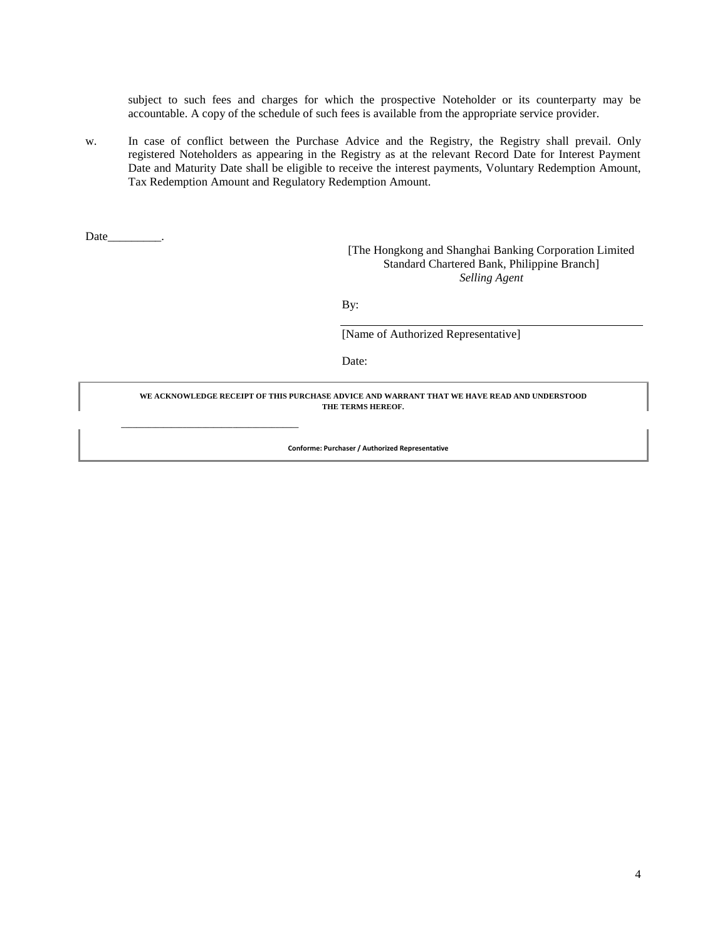subject to such fees and charges for which the prospective Noteholder or its counterparty may be accountable. A copy of the schedule of such fees is available from the appropriate service provider.

w. In case of conflict between the Purchase Advice and the Registry, the Registry shall prevail. Only registered Noteholders as appearing in the Registry as at the relevant Record Date for Interest Payment Date and Maturity Date shall be eligible to receive the interest payments, Voluntary Redemption Amount, Tax Redemption Amount and Regulatory Redemption Amount.

Date

**\_\_\_\_\_\_\_\_\_\_\_\_\_\_\_\_\_\_\_\_\_\_\_\_\_\_\_\_\_\_\_\_\_\_\_\_\_\_\_\_\_\_\_\_\_\_**

[The Hongkong and Shanghai Banking Corporation Limited Standard Chartered Bank, Philippine Branch] *Selling Agent*

By:

[Name of Authorized Representative]

Date:

**WE ACKNOWLEDGE RECEIPT OF THIS PURCHASE ADVICE AND WARRANT THAT WE HAVE READ AND UNDERSTOOD THE TERMS HEREOF.**

 **Conforme: Purchaser / Authorized Representative**